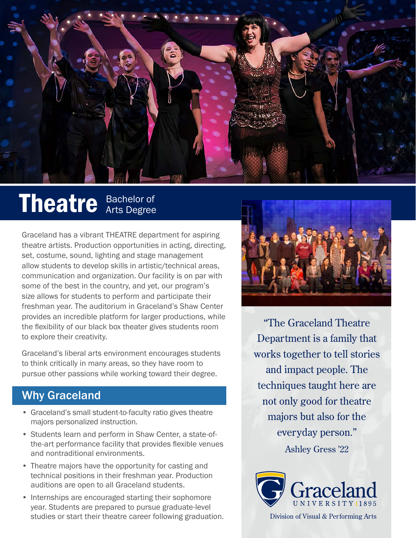

## Theatre Bachelor of

Graceland has a vibrant THEATRE department for aspiring theatre artists. Production opportunities in acting, directing, set, costume, sound, lighting and stage management allow students to develop skills in artistic/technical areas, communication and organization. Our facility is on par with some of the best in the country, and yet, our program's size allows for students to perform and participate their freshman year. The auditorium in Graceland's Shaw Center provides an incredible platform for larger productions, while the flexibility of our black box theater gives students room to explore their creativity.

Graceland's liberal arts environment encourages students to think critically in many areas, so they have room to pursue other passions while working toward their degree.

## Why Graceland

- Graceland's small student-to-faculty ratio gives theatre majors personalized instruction.
- Students learn and perform in Shaw Center, a state-ofthe-art performance facility that provides flexible venues and nontraditional environments.
- Theatre majors have the opportunity for casting and technical positions in their freshman year. Production auditions are open to all Graceland students.
- Internships are encouraged starting their sophomore year. Students are prepared to pursue graduate-level studies or start their theatre career following graduation.



"The Graceland Theatre Department is a family that works together to tell stories and impact people. The techniques taught here are not only good for theatre majors but also for the everyday person." Ashley Gress '22



Division of Visual & Performing Arts